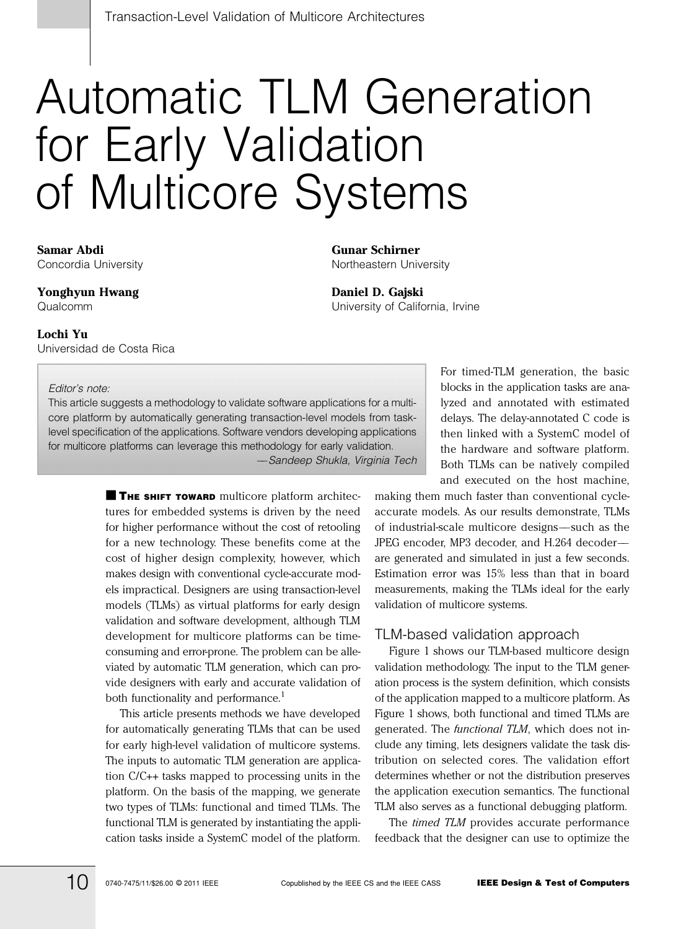# Automatic TLM Generation for Early Validation of Multicore Systems

Samar Abdi Concordia University

Yonghyun Hwang Qualcomm

## Lochi Yu

Universidad de Costa Rica

Editor's note:

This article suggests a methodology to validate software applications for a multicore platform by automatically generating transaction-level models from tasklevel specification of the applications. Software vendors developing applications for multicore platforms can leverage this methodology for early validation. --Sandeep Shukla, Virginia Tech

> **THE SHIFT TOWARD** multicore platform architectures for embedded systems is driven by the need for higher performance without the cost of retooling for a new technology. These benefits come at the cost of higher design complexity, however, which makes design with conventional cycle-accurate models impractical. Designers are using transaction-level models (TLMs) as virtual platforms for early design validation and software development, although TLM development for multicore platforms can be timeconsuming and error-prone. The problem can be alleviated by automatic TLM generation, which can provide designers with early and accurate validation of both functionality and performance.<sup>1</sup>

> This article presents methods we have developed for automatically generating TLMs that can be used for early high-level validation of multicore systems. The inputs to automatic TLM generation are application C/C++ tasks mapped to processing units in the platform. On the basis of the mapping, we generate two types of TLMs: functional and timed TLMs. The functional TLM is generated by instantiating the application tasks inside a SystemC model of the platform.

Gunar Schirner Northeastern University

Daniel D. Gajski University of California, Irvine

> For timed-TLM generation, the basic blocks in the application tasks are analyzed and annotated with estimated delays. The delay-annotated C code is then linked with a SystemC model of the hardware and software platform. Both TLMs can be natively compiled and executed on the host machine,

making them much faster than conventional cycleaccurate models. As our results demonstrate, TLMs of industrial-scale multicore designs—such as the JPEG encoder, MP3 decoder, and H.264 decoder are generated and simulated in just a few seconds. Estimation error was 15% less than that in board measurements, making the TLMs ideal for the early validation of multicore systems.

## TLM-based validation approach

Figure 1 shows our TLM-based multicore design validation methodology. The input to the TLM generation process is the system definition, which consists of the application mapped to a multicore platform. As Figure 1 shows, both functional and timed TLMs are generated. The functional TLM, which does not include any timing, lets designers validate the task distribution on selected cores. The validation effort determines whether or not the distribution preserves the application execution semantics. The functional TLM also serves as a functional debugging platform.

The *timed TLM* provides accurate performance feedback that the designer can use to optimize the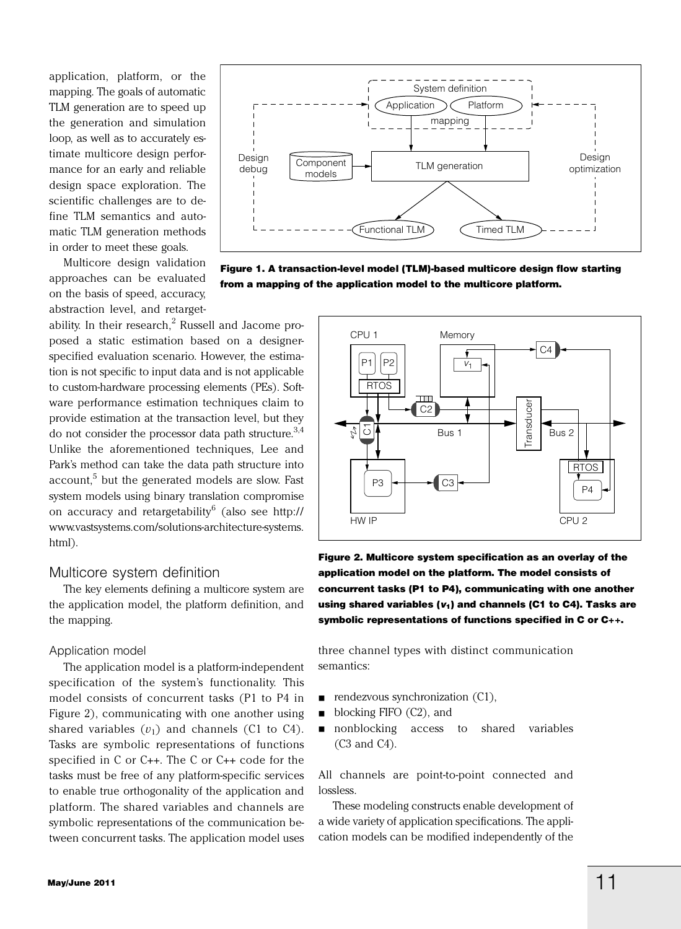application, platform, or the mapping. The goals of automatic TLM generation are to speed up the generation and simulation loop, as well as to accurately estimate multicore design performance for an early and reliable design space exploration. The scientific challenges are to define TLM semantics and automatic TLM generation methods in order to meet these goals.

Multicore design validation approaches can be evaluated on the basis of speed, accuracy, abstraction level, and retarget-

ability. In their research, $2$  Russell and Jacome proposed a static estimation based on a designerspecified evaluation scenario. However, the estimation is not specific to input data and is not applicable to custom-hardware processing elements (PEs). Software performance estimation techniques claim to provide estimation at the transaction level, but they do not consider the processor data path structure.<sup>3,4</sup> Unlike the aforementioned techniques, Lee and Park's method can take the data path structure into account,<sup>5</sup> but the generated models are slow. Fast system models using binary translation compromise on accuracy and retargetability<sup>6</sup> (also see http:// www.vastsystems.com/solutions-architecture-systems. html).

# Multicore system definition

The key elements defining a multicore system are the application model, the platform definition, and the mapping.

#### Application model

The application model is a platform-independent specification of the system's functionality. This model consists of concurrent tasks (P1 to P4 in Figure 2), communicating with one another using shared variables  $(v_1)$  and channels (C1 to C4). Tasks are symbolic representations of functions specified in C or C++. The C or C++ code for the tasks must be free of any platform-specific services to enable true orthogonality of the application and platform. The shared variables and channels are symbolic representations of the communication between concurrent tasks. The application model uses



Figure 1. A transaction-level model (TLM)-based multicore design flow starting from a mapping of the application model to the multicore platform.



Figure 2. Multicore system specification as an overlay of the application model on the platform. The model consists of concurrent tasks (P1 to P4), communicating with one another using shared variables  $(v_1)$  and channels (C1 to C4). Tasks are symbolic representations of functions specified in C or C++.

three channel types with distinct communication semantics:

- rendezvous synchronization (C1),
- blocking FIFO (C2), and
- nonblocking access to shared variables (C3 and C4).

All channels are point-to-point connected and lossless.

These modeling constructs enable development of a wide variety of application specifications. The application models can be modified independently of the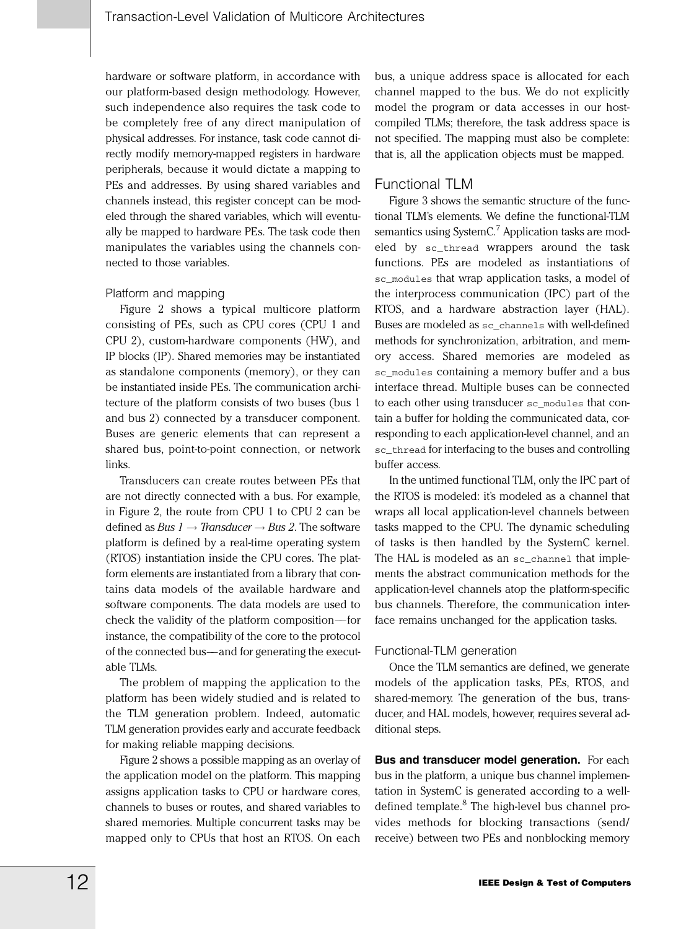hardware or software platform, in accordance with our platform-based design methodology. However, such independence also requires the task code to be completely free of any direct manipulation of physical addresses. For instance, task code cannot directly modify memory-mapped registers in hardware peripherals, because it would dictate a mapping to PEs and addresses. By using shared variables and channels instead, this register concept can be modeled through the shared variables, which will eventually be mapped to hardware PEs. The task code then manipulates the variables using the channels connected to those variables.

#### Platform and mapping

Figure 2 shows a typical multicore platform consisting of PEs, such as CPU cores (CPU 1 and CPU 2), custom-hardware components (HW), and IP blocks (IP). Shared memories may be instantiated as standalone components (memory), or they can be instantiated inside PEs. The communication architecture of the platform consists of two buses (bus 1 and bus 2) connected by a transducer component. Buses are generic elements that can represent a shared bus, point-to-point connection, or network links.

Transducers can create routes between PEs that are not directly connected with a bus. For example, in Figure 2, the route from CPU 1 to CPU 2 can be defined as Bus  $1 \rightarrow$  Transducer  $\rightarrow$  Bus 2. The software platform is defined by a real-time operating system (RTOS) instantiation inside the CPU cores. The platform elements are instantiated from a library that contains data models of the available hardware and software components. The data models are used to check the validity of the platform composition-for instance, the compatibility of the core to the protocol of the connected bus—and for generating the executable TLMs.

The problem of mapping the application to the platform has been widely studied and is related to the TLM generation problem. Indeed, automatic TLM generation provides early and accurate feedback for making reliable mapping decisions.

Figure 2 shows a possible mapping as an overlay of the application model on the platform. This mapping assigns application tasks to CPU or hardware cores, channels to buses or routes, and shared variables to shared memories. Multiple concurrent tasks may be mapped only to CPUs that host an RTOS. On each bus, a unique address space is allocated for each channel mapped to the bus. We do not explicitly model the program or data accesses in our hostcompiled TLMs; therefore, the task address space is not specified. The mapping must also be complete: that is, all the application objects must be mapped.

# Functional TLM

Figure 3 shows the semantic structure of the functional TLM's elements. We define the functional-TLM semantics using System $C<sup>7</sup>$  Application tasks are modeled by sc\_thread wrappers around the task functions. PEs are modeled as instantiations of sc\_modules that wrap application tasks, a model of the interprocess communication (IPC) part of the RTOS, and a hardware abstraction layer (HAL). Buses are modeled as sc\_channels with well-defined methods for synchronization, arbitration, and memory access. Shared memories are modeled as sc\_modules containing a memory buffer and a bus interface thread. Multiple buses can be connected to each other using transducer sc\_modules that contain a buffer for holding the communicated data, corresponding to each application-level channel, and an sc\_thread for interfacing to the buses and controlling buffer access.

In the untimed functional TLM, only the IPC part of the RTOS is modeled: it's modeled as a channel that wraps all local application-level channels between tasks mapped to the CPU. The dynamic scheduling of tasks is then handled by the SystemC kernel. The HAL is modeled as an sc\_channel that implements the abstract communication methods for the application-level channels atop the platform-specific bus channels. Therefore, the communication interface remains unchanged for the application tasks.

#### Functional-TLM generation

Once the TLM semantics are defined, we generate models of the application tasks, PEs, RTOS, and shared-memory. The generation of the bus, transducer, and HAL models, however, requires several additional steps.

Bus and transducer model generation. For each bus in the platform, a unique bus channel implementation in SystemC is generated according to a welldefined template.<sup>8</sup> The high-level bus channel provides methods for blocking transactions (send/ receive) between two PEs and nonblocking memory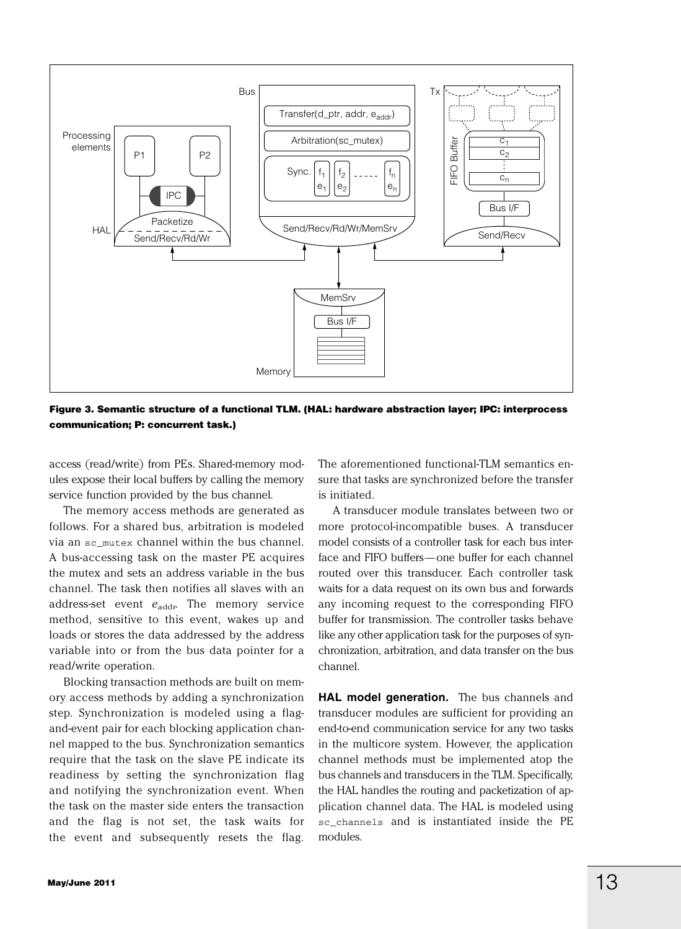

Figure 3. Semantic structure of a functional TLM. (HAL: hardware abstraction layer; IPC: interprocess communication; P: concurrent task.)

access (read/write) from PEs. Shared-memory modules expose their local buffers by calling the memory service function provided by the bus channel.

The memory access methods are generated as follows. For a shared bus, arbitration is modeled via an sc\_mutex channel within the bus channel. A bus-accessing task on the master PE acquires the mutex and sets an address variable in the bus channel. The task then notifies all slaves with an address-set event  $e_{\text{addr}}$  The memory service method, sensitive to this event, wakes up and loads or stores the data addressed by the address variable into or from the bus data pointer for a read/write operation.

Blocking transaction methods are built on memory access methods by adding a synchronization step. Synchronization is modeled using a flagand-event pair for each blocking application channel mapped to the bus. Synchronization semantics require that the task on the slave PE indicate its readiness by setting the synchronization flag and notifying the synchronization event. When the task on the master side enters the transaction and the flag is not set, the task waits for the event and subsequently resets the flag.

The aforementioned functional-TLM semantics ensure that tasks are synchronized before the transfer is initiated.

A transducer module translates between two or more protocol-incompatible buses. A transducer model consists of a controller task for each bus interface and FIFO buffers—one buffer for each channel routed over this transducer. Each controller task waits for a data request on its own bus and forwards any incoming request to the corresponding FIFO buffer for transmission. The controller tasks behave like any other application task for the purposes of synchronization, arbitration, and data transfer on the bus channel.

HAL model generation. The bus channels and transducer modules are sufficient for providing an end-to-end communication service for any two tasks in the multicore system. However, the application channel methods must be implemented atop the bus channels and transducers in the TLM. Specifically, the HAL handles the routing and packetization of application channel data. The HAL is modeled using sc\_channels and is instantiated inside the PE modules.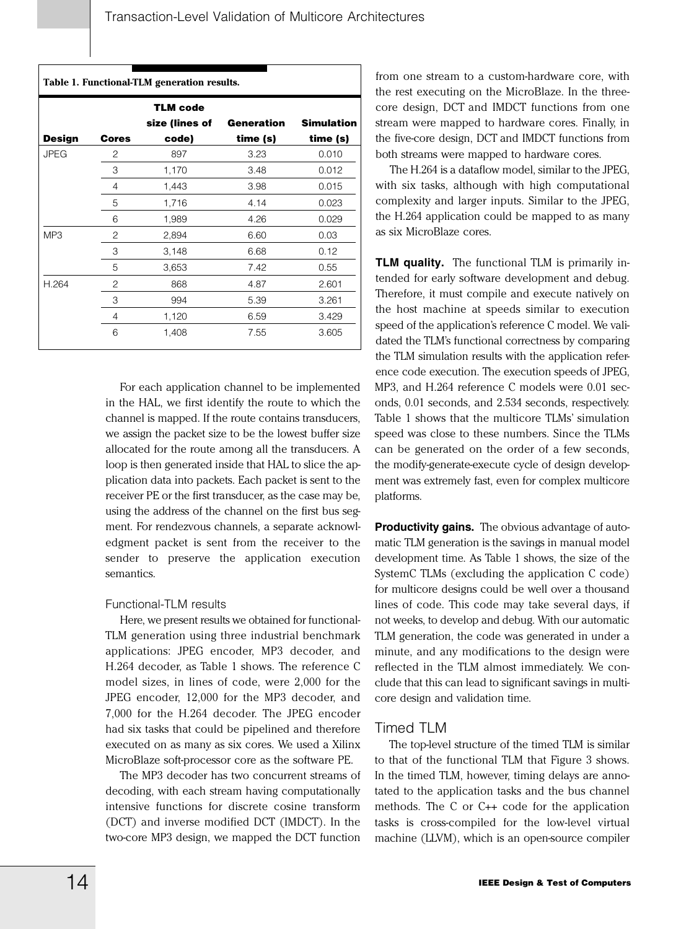|                 |              | <b>TLM</b> code |            |                   |  |
|-----------------|--------------|-----------------|------------|-------------------|--|
|                 |              | size (lines of  | Generation | <b>Simulation</b> |  |
| <b>Design</b>   | <b>Cores</b> | code)           | time (s)   | time (s)          |  |
| <b>JPEG</b>     | 2            | 897             | 3.23       | 0.010             |  |
|                 | 3            | 1,170           | 3.48       | 0.012             |  |
|                 | 4            | 1,443           | 3.98       | 0.015             |  |
|                 | 5            | 1,716           | 4.14       | 0.023             |  |
|                 | 6            | 1,989           | 4.26       | 0.029             |  |
| MP <sub>3</sub> | 2            | 2,894           | 6.60       | 0.03              |  |
|                 | 3            | 3,148           | 6.68       | 0.12              |  |
|                 | 5            | 3,653           | 7.42       | 0.55              |  |
| H.264           | 2            | 868             | 4.87       | 2.601             |  |
|                 | 3            | 994             | 5.39       | 3.261             |  |
|                 | 4            | 1,120           | 6.59       | 3.429             |  |
|                 | 6            | 1,408           | 7.55       | 3.605             |  |

For each application channel to be implemented in the HAL, we first identify the route to which the channel is mapped. If the route contains transducers, we assign the packet size to be the lowest buffer size allocated for the route among all the transducers. A loop is then generated inside that HAL to slice the application data into packets. Each packet is sent to the receiver PE or the first transducer, as the case may be, using the address of the channel on the first bus segment. For rendezvous channels, a separate acknowledgment packet is sent from the receiver to the sender to preserve the application execution semantics.

#### Functional-TLM results

Here, we present results we obtained for functional-TLM generation using three industrial benchmark applications: JPEG encoder, MP3 decoder, and H.264 decoder, as Table 1 shows. The reference C model sizes, in lines of code, were 2,000 for the JPEG encoder, 12,000 for the MP3 decoder, and 7,000 for the H.264 decoder. The JPEG encoder had six tasks that could be pipelined and therefore executed on as many as six cores. We used a Xilinx MicroBlaze soft-processor core as the software PE.

The MP3 decoder has two concurrent streams of decoding, with each stream having computationally intensive functions for discrete cosine transform (DCT) and inverse modified DCT (IMDCT). In the two-core MP3 design, we mapped the DCT function

from one stream to a custom-hardware core, with the rest executing on the MicroBlaze. In the threecore design, DCT and IMDCT functions from one stream were mapped to hardware cores. Finally, in the five-core design, DCT and IMDCT functions from both streams were mapped to hardware cores.

The H.264 is a dataflow model, similar to the JPEG, with six tasks, although with high computational complexity and larger inputs. Similar to the JPEG, the H.264 application could be mapped to as many as six MicroBlaze cores.

**TLM quality.** The functional TLM is primarily intended for early software development and debug. Therefore, it must compile and execute natively on the host machine at speeds similar to execution speed of the application's reference C model. We validated the TLM's functional correctness by comparing the TLM simulation results with the application reference code execution. The execution speeds of JPEG, MP3, and H.264 reference C models were 0.01 seconds, 0.01 seconds, and 2.534 seconds, respectively. Table 1 shows that the multicore TLMs' simulation speed was close to these numbers. Since the TLMs can be generated on the order of a few seconds, the modify-generate-execute cycle of design development was extremely fast, even for complex multicore platforms.

**Productivity gains.** The obvious advantage of automatic TLM generation is the savings in manual model development time. As Table 1 shows, the size of the SystemC TLMs (excluding the application C code) for multicore designs could be well over a thousand lines of code. This code may take several days, if not weeks, to develop and debug. With our automatic TLM generation, the code was generated in under a minute, and any modifications to the design were reflected in the TLM almost immediately. We conclude that this can lead to significant savings in multicore design and validation time.

# Timed TLM

The top-level structure of the timed TLM is similar to that of the functional TLM that Figure 3 shows. In the timed TLM, however, timing delays are annotated to the application tasks and the bus channel methods. The C or C++ code for the application tasks is cross-compiled for the low-level virtual machine (LLVM), which is an open-source compiler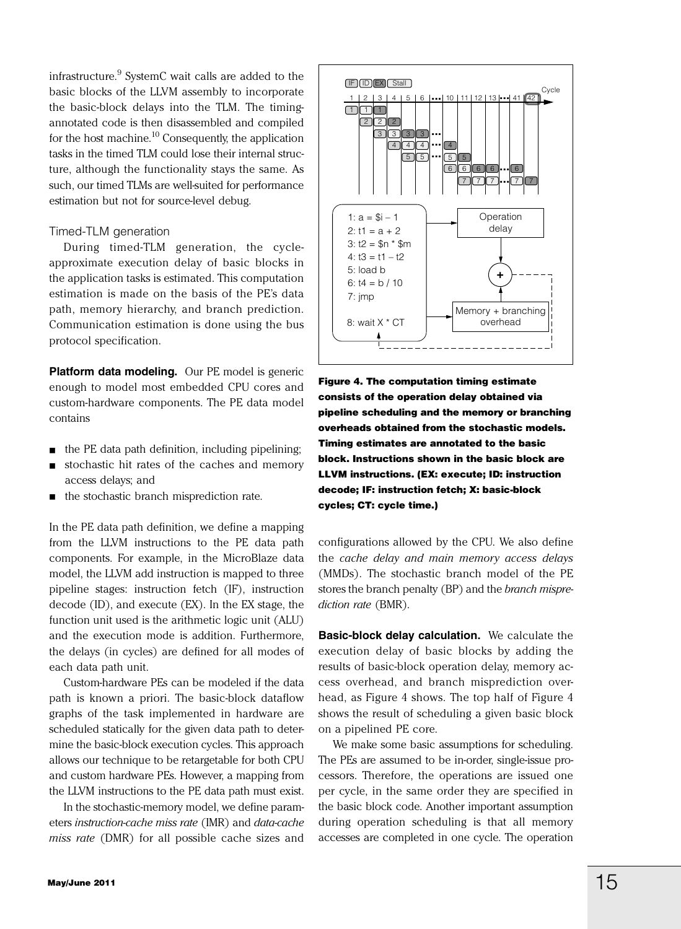infrastructure.<sup>9</sup> SystemC wait calls are added to the basic blocks of the LLVM assembly to incorporate the basic-block delays into the TLM. The timingannotated code is then disassembled and compiled for the host machine.<sup>10</sup> Consequently, the application tasks in the timed TLM could lose their internal structure, although the functionality stays the same. As such, our timed TLMs are well-suited for performance estimation but not for source-level debug.

#### Timed-TLM generation

During timed-TLM generation, the cycleapproximate execution delay of basic blocks in the application tasks is estimated. This computation estimation is made on the basis of the PE's data path, memory hierarchy, and branch prediction. Communication estimation is done using the bus protocol specification.

Platform data modeling. Our PE model is generic enough to model most embedded CPU cores and custom-hardware components. The PE data model contains

- the PE data path definition, including pipelining;
- stochastic hit rates of the caches and memory access delays; and
- the stochastic branch misprediction rate.

In the PE data path definition, we define a mapping from the LLVM instructions to the PE data path components. For example, in the MicroBlaze data model, the LLVM add instruction is mapped to three pipeline stages: instruction fetch (IF), instruction decode (ID), and execute (EX). In the EX stage, the function unit used is the arithmetic logic unit (ALU) and the execution mode is addition. Furthermore, the delays (in cycles) are defined for all modes of each data path unit.

Custom-hardware PEs can be modeled if the data path is known a priori. The basic-block dataflow graphs of the task implemented in hardware are scheduled statically for the given data path to determine the basic-block execution cycles. This approach allows our technique to be retargetable for both CPU and custom hardware PEs. However, a mapping from the LLVM instructions to the PE data path must exist.

In the stochastic-memory model, we define parameters instruction-cache miss rate (IMR) and data-cache miss rate (DMR) for all possible cache sizes and



Figure 4. The computation timing estimate consists of the operation delay obtained via pipeline scheduling and the memory or branching overheads obtained from the stochastic models. Timing estimates are annotated to the basic block. Instructions shown in the basic block are LLVM instructions. (EX: execute; ID: instruction decode; IF: instruction fetch; X: basic-block cycles; CT: cycle time.)

configurations allowed by the CPU. We also define the cache delay and main memory access delays (MMDs). The stochastic branch model of the PE stores the branch penalty (BP) and the *branch mispre*diction rate (BMR).

Basic-block delay calculation. We calculate the execution delay of basic blocks by adding the results of basic-block operation delay, memory access overhead, and branch misprediction overhead, as Figure 4 shows. The top half of Figure 4 shows the result of scheduling a given basic block on a pipelined PE core.

We make some basic assumptions for scheduling. The PEs are assumed to be in-order, single-issue processors. Therefore, the operations are issued one per cycle, in the same order they are specified in the basic block code. Another important assumption during operation scheduling is that all memory accesses are completed in one cycle. The operation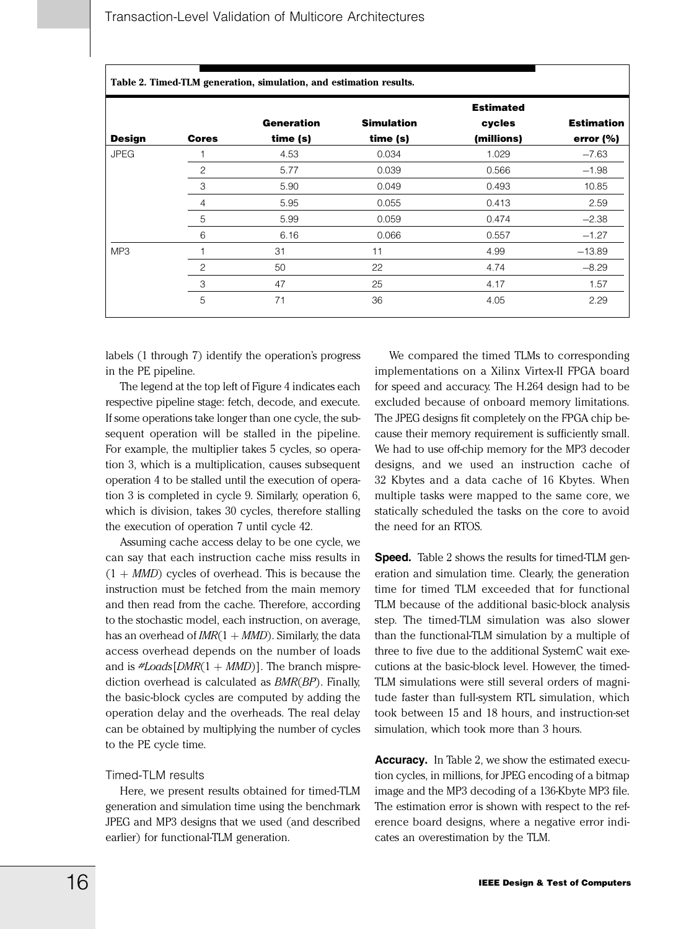|             |              |                               | <b>Estimated</b>  |            |                   |
|-------------|--------------|-------------------------------|-------------------|------------|-------------------|
| Design      | <b>Cores</b> | <b>Generation</b><br>time (s) | <b>Simulation</b> | cycles     | <b>Estimation</b> |
|             |              |                               | time (s)          | (millions) | error $(\%)$      |
| <b>JPEG</b> |              | 4.53                          | 0.034             | 1.029      | $-7.63$           |
|             | 2            | 5.77                          | 0.039             | 0.566      | $-1.98$           |
|             | 3            | 5.90                          | 0.049             | 0.493      | 10.85             |
|             | 4            | 5.95                          | 0.055             | 0.413      | 2.59              |
|             | 5            | 5.99                          | 0.059             | 0.474      | $-2.38$           |
|             | 6            | 6.16                          | 0.066             | 0.557      | $-1.27$           |
| MP3         |              | 31                            | 11                | 4.99       | $-13.89$          |
|             | 2            | 50                            | 22                | 4.74       | $-8.29$           |
|             | 3            | 47                            | 25                | 4.17       | 1.57              |
|             | 5            | 71                            | 36                | 4.05       | 2.29              |

labels (1 through 7) identify the operation's progress in the PE pipeline.

The legend at the top left of Figure 4 indicates each respective pipeline stage: fetch, decode, and execute. If some operations take longer than one cycle, the subsequent operation will be stalled in the pipeline. For example, the multiplier takes 5 cycles, so operation 3, which is a multiplication, causes subsequent operation 4 to be stalled until the execution of operation 3 is completed in cycle 9. Similarly, operation 6, which is division, takes 30 cycles, therefore stalling the execution of operation 7 until cycle 42.

Assuming cache access delay to be one cycle, we can say that each instruction cache miss results in  $(1 + MMD)$  cycles of overhead. This is because the instruction must be fetched from the main memory and then read from the cache. Therefore, according to the stochastic model, each instruction, on average, has an overhead of  $IMR(1 + MMD)$ . Similarly, the data access overhead depends on the number of loads and is  $\#loads[DMR(1 + MMD)]$ . The branch misprediction overhead is calculated as BMR(BP). Finally, the basic-block cycles are computed by adding the operation delay and the overheads. The real delay can be obtained by multiplying the number of cycles to the PE cycle time.

#### Timed-TLM results

Here, we present results obtained for timed-TLM generation and simulation time using the benchmark JPEG and MP3 designs that we used (and described earlier) for functional-TLM generation.

We compared the timed TLMs to corresponding implementations on a Xilinx Virtex-II FPGA board for speed and accuracy. The H.264 design had to be excluded because of onboard memory limitations. The JPEG designs fit completely on the FPGA chip because their memory requirement is sufficiently small. We had to use off-chip memory for the MP3 decoder designs, and we used an instruction cache of 32 Kbytes and a data cache of 16 Kbytes. When multiple tasks were mapped to the same core, we statically scheduled the tasks on the core to avoid the need for an RTOS.

**Speed.** Table 2 shows the results for timed-TLM generation and simulation time. Clearly, the generation time for timed TLM exceeded that for functional TLM because of the additional basic-block analysis step. The timed-TLM simulation was also slower than the functional-TLM simulation by a multiple of three to five due to the additional SystemC wait executions at the basic-block level. However, the timed-TLM simulations were still several orders of magnitude faster than full-system RTL simulation, which took between 15 and 18 hours, and instruction-set simulation, which took more than 3 hours.

Accuracy. In Table 2, we show the estimated execution cycles, in millions, for JPEG encoding of a bitmap image and the MP3 decoding of a 136-Kbyte MP3 file. The estimation error is shown with respect to the reference board designs, where a negative error indicates an overestimation by the TLM.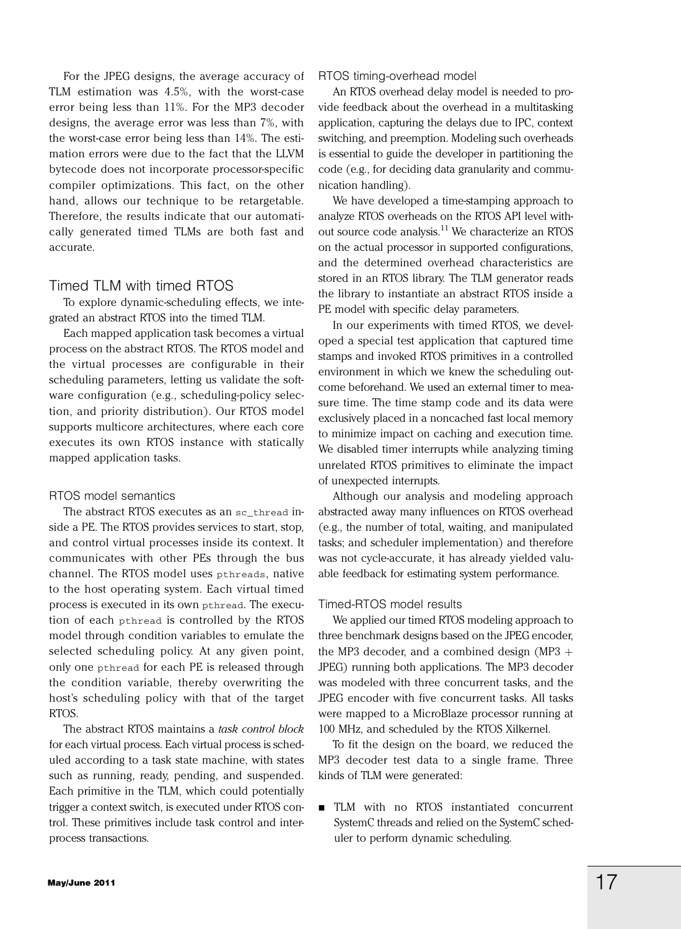For the JPEG designs, the average accuracy of TLM estimation was 4.5%, with the worst-case error being less than 11%. For the MP3 decoder designs, the average error was less than 7%, with the worst-case error being less than 14%. The estimation errors were due to the fact that the LLVM bytecode does not incorporate processor-specific compiler optimizations. This fact, on the other hand, allows our technique to be retargetable. Therefore, the results indicate that our automatically generated timed TLMs are both fast and accurate.

# Timed TLM with timed RTOS

To explore dynamic-scheduling effects, we integrated an abstract RTOS into the timed TLM.

Each mapped application task becomes a virtual process on the abstract RTOS. The RTOS model and the virtual processes are configurable in their scheduling parameters, letting us validate the software configuration (e.g., scheduling-policy selection, and priority distribution). Our RTOS model supports multicore architectures, where each core executes its own RTOS instance with statically mapped application tasks.

## RTOS model semantics

The abstract RTOS executes as an sc\_thread inside a PE. The RTOS provides services to start, stop, and control virtual processes inside its context. It communicates with other PEs through the bus channel. The RTOS model uses pthreads, native to the host operating system. Each virtual timed process is executed in its own pthread. The execution of each pthread is controlled by the RTOS model through condition variables to emulate the selected scheduling policy. At any given point, only one pthread for each PE is released through the condition variable, thereby overwriting the host's scheduling policy with that of the target RTOS.

The abstract RTOS maintains a task control block for each virtual process. Each virtual process is scheduled according to a task state machine, with states such as running, ready, pending, and suspended. Each primitive in the TLM, which could potentially trigger a context switch, is executed under RTOS control. These primitives include task control and interprocess transactions.

RTOS timing-overhead model

An RTOS overhead delay model is needed to provide feedback about the overhead in a multitasking application, capturing the delays due to IPC, context switching, and preemption. Modeling such overheads is essential to guide the developer in partitioning the code (e.g., for deciding data granularity and communication handling).

We have developed a time-stamping approach to analyze RTOS overheads on the RTOS API level without source code analysis.<sup>11</sup> We characterize an RTOS on the actual processor in supported configurations, and the determined overhead characteristics are stored in an RTOS library. The TLM generator reads the library to instantiate an abstract RTOS inside a PE model with specific delay parameters.

In our experiments with timed RTOS, we developed a special test application that captured time stamps and invoked RTOS primitives in a controlled environment in which we knew the scheduling outcome beforehand. We used an external timer to measure time. The time stamp code and its data were exclusively placed in a noncached fast local memory to minimize impact on caching and execution time. We disabled timer interrupts while analyzing timing unrelated RTOS primitives to eliminate the impact of unexpected interrupts.

Although our analysis and modeling approach abstracted away many influences on RTOS overhead (e.g., the number of total, waiting, and manipulated tasks; and scheduler implementation) and therefore was not cycle-accurate, it has already yielded valuable feedback for estimating system performance.

#### Timed-RTOS model results

We applied our timed RTOS modeling approach to three benchmark designs based on the JPEG encoder, the MP3 decoder, and a combined design (MP3  $+$ JPEG) running both applications. The MP3 decoder was modeled with three concurrent tasks, and the JPEG encoder with five concurrent tasks. All tasks were mapped to a MicroBlaze processor running at 100 MHz, and scheduled by the RTOS Xilkernel.

To fit the design on the board, we reduced the MP3 decoder test data to a single frame. Three kinds of TLM were generated:

- TLM with no RTOS instantiated concurrent SystemC threads and relied on the SystemC scheduler to perform dynamic scheduling.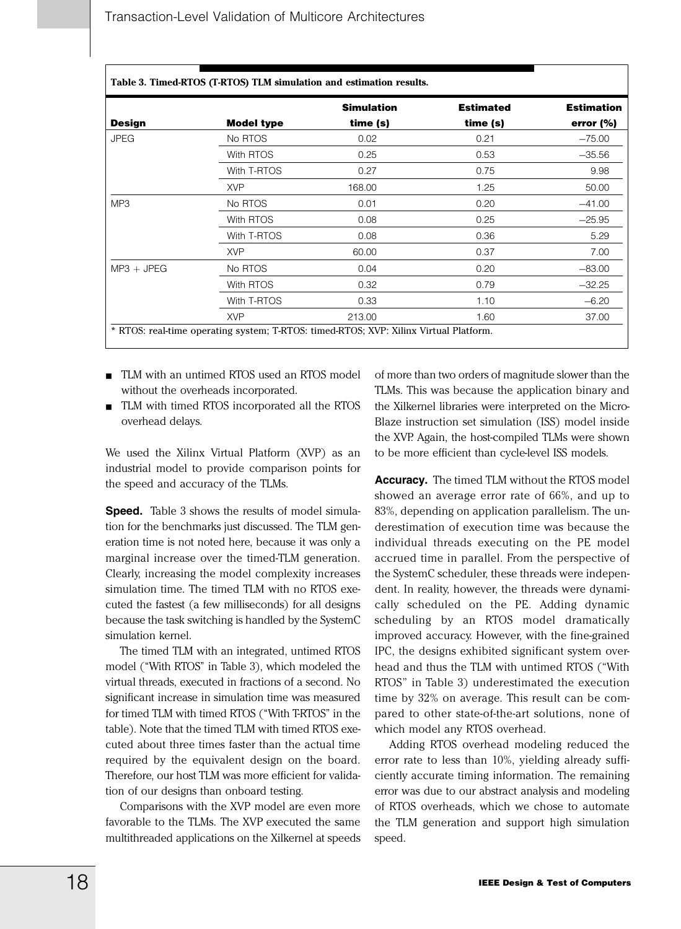|                 |                   | <b>Simulation</b><br>time (s) | <b>Estimated</b><br>time (s) | <b>Estimation</b><br>error $(\%)$ |
|-----------------|-------------------|-------------------------------|------------------------------|-----------------------------------|
| Design          | <b>Model type</b> |                               |                              |                                   |
| <b>JPEG</b>     | No RTOS           | 0.02                          | 0.21                         | $-75.00$                          |
|                 | With RTOS         | 0.25                          | 0.53                         | $-35.56$                          |
|                 | With T-RTOS       | 0.27                          | 0.75                         | 9.98                              |
|                 | <b>XVP</b>        | 168.00                        | 1.25                         | 50.00                             |
| MP <sub>3</sub> | No RTOS           | 0.01                          | 0.20                         | $-41.00$                          |
|                 | With RTOS         | 0.08                          | 0.25                         | $-25.95$                          |
|                 | With T-RTOS       | 0.08                          | 0.36                         | 5.29                              |
|                 | <b>XVP</b>        | 60.00                         | 0.37                         | 7.00                              |
| $MP3 + JPEG$    | No RTOS           | 0.04                          | 0.20                         | $-83.00$                          |
|                 | With RTOS         | 0.32                          | 0.79                         | $-32.25$                          |
|                 | With T-RTOS       | 0.33                          | 1.10                         | $-6.20$                           |
|                 | <b>XVP</b>        | 213.00                        | 1.60                         | 37.00                             |

- TLM with an untimed RTOS used an RTOS model without the overheads incorporated.
- TLM with timed RTOS incorporated all the RTOS overhead delays.

We used the Xilinx Virtual Platform (XVP) as an industrial model to provide comparison points for the speed and accuracy of the TLMs.

**Speed.** Table 3 shows the results of model simulation for the benchmarks just discussed. The TLM generation time is not noted here, because it was only a marginal increase over the timed-TLM generation. Clearly, increasing the model complexity increases simulation time. The timed TLM with no RTOS executed the fastest (a few milliseconds) for all designs because the task switching is handled by the SystemC simulation kernel.

The timed TLM with an integrated, untimed RTOS model (''With RTOS'' in Table 3), which modeled the virtual threads, executed in fractions of a second. No significant increase in simulation time was measured for timed TLM with timed RTOS (''With T-RTOS'' in the table). Note that the timed TLM with timed RTOS executed about three times faster than the actual time required by the equivalent design on the board. Therefore, our host TLM was more efficient for validation of our designs than onboard testing.

Comparisons with the XVP model are even more favorable to the TLMs. The XVP executed the same multithreaded applications on the Xilkernel at speeds of more than two orders of magnitude slower than the TLMs. This was because the application binary and the Xilkernel libraries were interpreted on the Micro-Blaze instruction set simulation (ISS) model inside the XVP. Again, the host-compiled TLMs were shown to be more efficient than cycle-level ISS models.

Accuracy. The timed TLM without the RTOS model showed an average error rate of 66%, and up to 83%, depending on application parallelism. The underestimation of execution time was because the individual threads executing on the PE model accrued time in parallel. From the perspective of the SystemC scheduler, these threads were independent. In reality, however, the threads were dynamically scheduled on the PE. Adding dynamic scheduling by an RTOS model dramatically improved accuracy. However, with the fine-grained IPC, the designs exhibited significant system overhead and thus the TLM with untimed RTOS (''With RTOS'' in Table 3) underestimated the execution time by 32% on average. This result can be compared to other state-of-the-art solutions, none of which model any RTOS overhead.

Adding RTOS overhead modeling reduced the error rate to less than 10%, yielding already sufficiently accurate timing information. The remaining error was due to our abstract analysis and modeling of RTOS overheads, which we chose to automate the TLM generation and support high simulation speed.